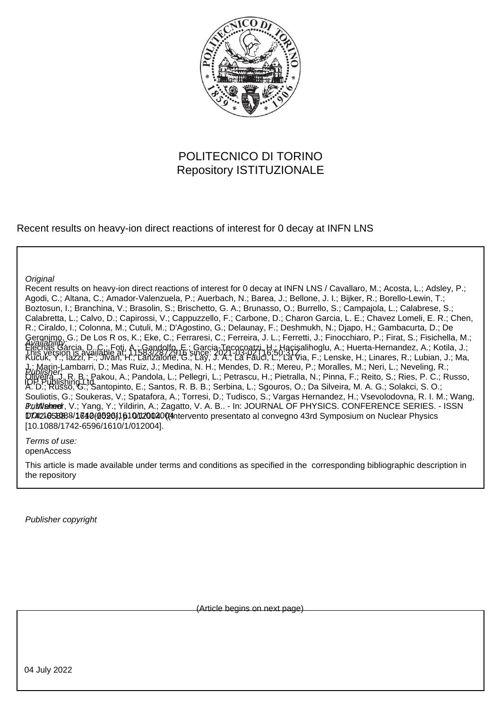

### POLITECNICO DI TORINO Repository ISTITUZIONALE

Recent results on heavy-ion direct reactions of interest for 0 decay at INFN LNS

**Original** 

Recent results on heavy-ion direct reactions of interest for 0 decay at INFN LNS / Cavallaro, M.; Acosta, L.; Adsley, P.; Agodi, C.; Altana, C.; Amador-Valenzuela, P.; Auerbach, N.; Barea, J.; Bellone, J. I.; Bijker, R.; Borello-Lewin, T.; Boztosun, I.; Branchina, V.; Brasolin, S.; Brischetto, G. A.; Brunasso, O.; Burrello, S.; Campajola, L.; Calabrese, S.; Calabretta, L.; Calvo, D.; Capirossi, V.; Cappuzzello, F.; Carbone, D.; Charon Garcia, L. E.; Chavez Lomeli, E. R.; Chen, R.; Ciraldo, I.; Colonna, M.; Cutuli, M.; D'Agostino, G.; Delaunay, F.; Deshmukh, N.; Djapo, H.; Gambacurta, D.; De Geronimo, G.; De Los R os, K.; Eke, C.; Ferraresi, C.; Ferreira, J. L.; Ferretti, J.; Finocchiaro, P.; Firat, S.; Fisichella, M.; Flechas Garcia, D. C.; Foti, A.; Gandolfo, E.; Garcia,Tecocoatzi, H.; Haçişalihoglu, A.; Huerta-Hernandez, A.; Kotila, J.; Kucuk, Y.; Iazzi, <del>F.</del>; Jivan, H.; Lanzalone, G.; Lay, J. A.; La Fauci, L.; La Via, F.; Lenske, H.; Linares, R.; Lubian, J.; Ma, J.; Marin-Lambarri, D.; Mas Ruiz, J.; Medina, N. H.; Mendes, D. R.; Mereu, P.; Moralles, M.; Neri, L.; Neveling, R.; Oliveira, J. R. B.; Pakou, A.; Pandola, L.; Pellegri, L.; Petrascu, H.; Pietralla, N.; Pinna, F.; Reito, S.; Ries, P. C.; Russo, A. D.; Russo, G.; Santopinto, E.; Santos, R. B. B.; Serbina, L.; Sgouros, O.; Da Silveira, M. A. G.; Solakci, S. O.; Souliotis, G.; Soukeras, V.; Spatafora, A.; Torresi, D.; Tudisco, S.; Vargas Hernandez, H.; Vsevolodovna, R. I. M.; Wang, *Bublish*eer, V.; Yang, Y.; Yildirin, A.; Zagatto, V. A. B.. - In: JOURNAL OF PHYSICS. CONFERENCE SERIES. - ISSN DOI21058088/1640(0590)1610/1200200(4 htervento presentato al convegno 43rd Symposium on Nuclear Physics [10.1088/1742-6596/1610/1/012004]. Publisher: Availability: This version is available at: 11583/2872916 since: 2021-03-02T16:50:31Z IOP Publishing Ltd

Terms of use: openAccess

This article is made available under terms and conditions as specified in the corresponding bibliographic description in the repository

Publisher copyright

(Article begins on next page)

04 July 2022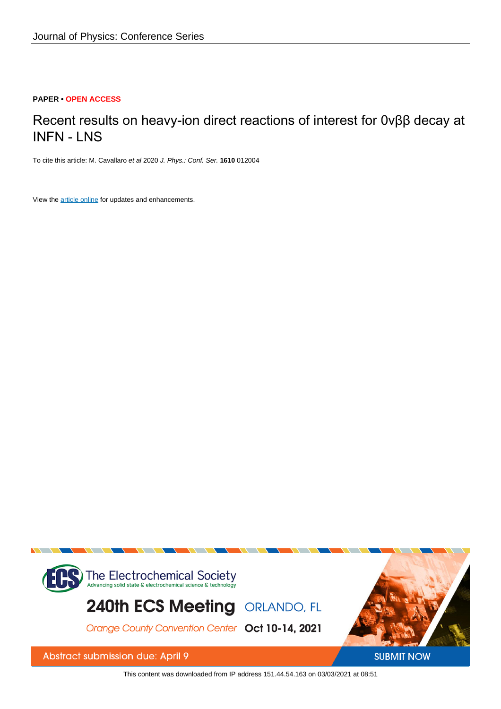### **PAPER • OPEN ACCESS**

# Recent results on heavy-ion direct reactions of interest for 0νββ decay at INFN - LNS

To cite this article: M. Cavallaro et al 2020 J. Phys.: Conf. Ser. **1610** 012004

View the [article online](https://doi.org/10.1088/1742-6596/1610/1/012004) for updates and enhancements.



This content was downloaded from IP address 151.44.54.163 on 03/03/2021 at 08:51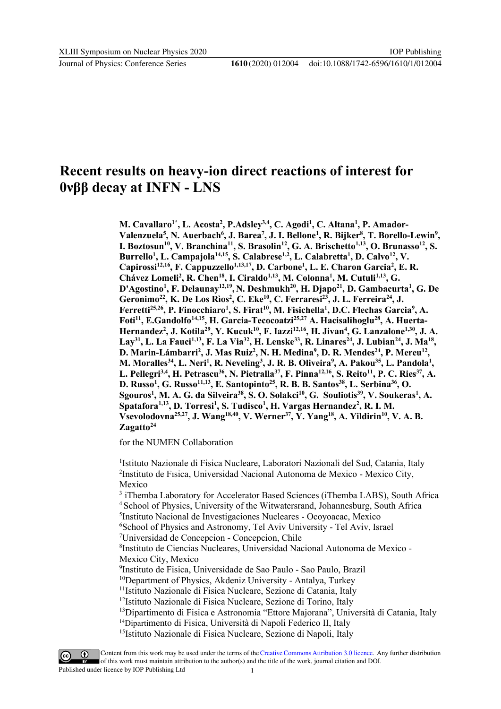Journal of Physics: Conference Series **1610** (2020) 012004

## **Recent results on heavy-ion direct reactions of interest for 0νββ decay at INFN - LNS**

**M. Cavallaro1\*, L. Acosta<sup>2</sup> , P.Adsley3,4 , C. Agodi<sup>1</sup> , C. Altana<sup>1</sup> , P. Amador-Valenzuela<sup>5</sup> , N. Auerbach<sup>6</sup> , J. Barea<sup>7</sup> , J. I. Bellone<sup>1</sup> , R. Bijker<sup>8</sup> , T. Borello-Lewin<sup>9</sup> , I. Boztosun<sup>10</sup> , V. Branchina<sup>11</sup>, S. Brasolin<sup>12</sup> , G. A. Brischetto1,13 , O. Brunasso<sup>12</sup> , S. Burrello<sup>1</sup> , L. Campajola14,15 , S. Calabrese1,2, L. Calabretta<sup>1</sup> , D. Calvo<sup>12</sup> , V. Capirossi12,16 , F. Cappuzzello1,13,17 , D. Carbone<sup>1</sup> , L. E. Charon Garcia<sup>2</sup> , E. R. Chávez Lomeli<sup>2</sup> , R. Chen<sup>18</sup> , I. Ciraldo1,13 , M. Colonna<sup>1</sup> , M. Cutuli1,13 , G. D'Agostino<sup>1</sup> , F. Delaunay12,19 , N. Deshmukh<sup>20</sup>, H. Djapo<sup>21</sup> , D. Gambacurta<sup>1</sup> , G. De Geronimo<sup>22</sup>, K. De Los Rìos<sup>2</sup> , C. Eke<sup>10</sup> , C. Ferraresi<sup>23</sup>, J. L. Ferreira<sup>24</sup> , J. Ferretti25,26 , P. Finocchiaro<sup>1</sup> , S. Firat<sup>10</sup>, M. Fisichella<sup>1</sup> , D.C. Flechas Garcia<sup>9</sup> , A. Foti<sup>11</sup> , E.Gandolfo14,15 , H. Garcia-Tecocoatzi25,27 A. Hacisalihoglu<sup>28</sup> , A. Huerta-Hernandez<sup>2</sup> , J. Kotila<sup>29</sup> , Y. Kucuk<sup>10</sup>, F. Iazzi12,16 , H. Jivan<sup>4</sup> , G. Lanzalone1,30, J. A.** Lay<sup>31</sup>, L. La Fauci<sup>1,13</sup>, F. La Via<sup>32</sup>, H. Lenske<sup>33</sup>, R. Linares<sup>24</sup>, J. Lubian<sup>24</sup>, J. Ma<sup>18</sup>, **D. Marin-Lámbarri<sup>2</sup> , J. Mas Ruiz<sup>2</sup> , N. H. Medina<sup>9</sup> , D. R. Mendes<sup>24</sup>, P. Mereu<sup>12</sup> , M.** Moralles<sup>34</sup>, L. Neri<sup>1</sup>, R. Neveling<sup>3</sup>, J. R. B. Oliveira<sup>9</sup>, A. Pakou<sup>35</sup>, L. Pandola<sup>1</sup>, **L. Pellegri3,4 , H. Petrascu<sup>36</sup> , N. Pietralla<sup>37</sup> , F. Pinna12,16, S. Reito<sup>11</sup>, P. C. Ries<sup>37</sup> , A. D. Russo<sup>1</sup> , G. Russo11,13, E. Santopinto<sup>25</sup> , R. B. B. Santos<sup>38</sup> , L. Serbina<sup>36</sup> , O. Sgouros<sup>1</sup> , M. A. G. da Silveira<sup>38</sup> , S. O. Solakci<sup>10</sup>, G. Souliotis<sup>39</sup> , V. Soukeras<sup>1</sup> , A. Spatafora1,13 , D. Torresi<sup>1</sup> , S. Tudisco<sup>1</sup> , H. Vargas Hernandez<sup>2</sup> , R. I. M. Vsevolodovna25,27, J. Wang18,40, V. Werner<sup>37</sup> , Y. Yang<sup>18</sup> , A. Yildirin<sup>10</sup>, V. A. B. Zagatto<sup>24</sup>**

for the NUMEN Collaboration

<sup>1</sup>Istituto Nazionale di Fisica Nucleare, Laboratori Nazionali del Sud, Catania, Italy 2 Instituto de Fısica, Universidad Nacional Autonoma de Mexico - Mexico City, Mexico

<sup>3</sup> iThemba Laboratory for Accelerator Based Sciences (iThemba LABS), South Africa School of Physics, University of the Witwatersrand, Johannesburg, South Africa Instituto Nacional de Investigaciones Nucleares - Ocoyoacac, Mexico <sup>6</sup>School of Physics and Astronomy, Tel Aviv University - Tel Aviv, Israel Universidad de Concepcion - Concepcion, Chile Instituto de Ciencias Nucleares, Universidad Nacional Autonoma de Mexico - Mexico City, Mexico Instituto de Fisica, Universidade de Sao Paulo - Sao Paulo, Brazil Department of Physics, Akdeniz University - Antalya, Turkey Istituto Nazionale di Fisica Nucleare, Sezione di Catania, Italy <sup>12</sup>Istituto Nazionale di Fisica Nucleare, Sezione di Torino, Italy Dipartimento di Fisica e Astronomia "Ettore Majorana", Università di Catania, Italy Dipartimento di Fisica, Università di Napoli Federico II, Italy

15Istituto Nazionale di Fisica Nucleare, Sezione di Napoli, Italy



Content from this work may be used under the terms of theCreative Commons Attribution 3.0 licence. Any further distribution of this work must maintain attribution to the author(s) and the title of the work, journal citation and DOI.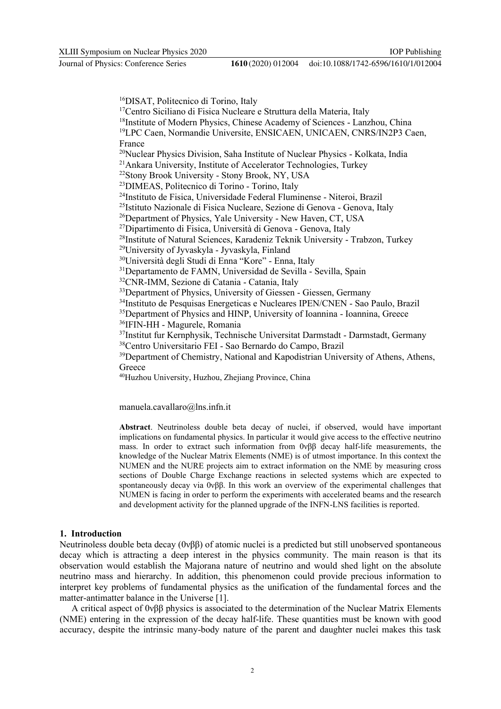DISAT, Politecnico di Torino, Italy <sup>17</sup>Centro Siciliano di Fisica Nucleare e Struttura della Materia, Italy <sup>18</sup>Institute of Modern Physics, Chinese Academy of Sciences - Lanzhou, China <sup>19</sup>LPC Caen, Normandie Universite, ENSICAEN, UNICAEN, CNRS/IN2P3 Caen, France Nuclear Physics Division, Saha Institute of Nuclear Physics - Kolkata, India Ankara University, Institute of Accelerator Technologies, Turkey Stony Brook University - Stony Brook, NY, USA DIMEAS, Politecnico di Torino - Torino, Italy Instituto de Fisica, Universidade Federal Fluminense - Niteroi, Brazil Istituto Nazionale di Fisica Nucleare, Sezione di Genova - Genova, Italy <sup>26</sup>Department of Physics, Yale University - New Haven, CT, USA Dipartimento di Fisica, Università di Genova - Genova, Italy Institute of Natural Sciences, Karadeniz Teknik University - Trabzon, Turkey University of Jyvaskyla - Jyvaskyla, Finland Università degli Studi di Enna "Kore" - Enna, Italy Departamento de FAMN, Universidad de Sevilla - Sevilla, Spain CNR-IMM, Sezione di Catania - Catania, Italy <sup>33</sup>Department of Physics, University of Giessen - Giessen, Germany Instituto de Pesquisas Energeticas e Nucleares IPEN/CNEN - Sao Paulo, Brazil <sup>35</sup>Department of Physics and HINP, University of Ioannina - Ioannina, Greece IFIN-HH - Magurele, Romania 37Institut fur Kernphysik, Technische Universitat Darmstadt - Darmstadt, Germany Centro Universitario FEI - Sao Bernardo do Campo, Brazil <sup>39</sup>Department of Chemistry, National and Kapodistrian University of Athens, Athens, Greece Huzhou University, Huzhou, Zhejiang Province, China

manuela.cavallaro@lns.infn.it

**Abstract**. Neutrinoless double beta decay of nuclei, if observed, would have important implications on fundamental physics. In particular it would give access to the effective neutrino mass. In order to extract such information from  $0\nu\beta\beta$  decay half-life measurements, the knowledge of the Nuclear Matrix Elements (NME) is of utmost importance. In this context the NUMEN and the NURE projects aim to extract information on the NME by measuring cross sections of Double Charge Exchange reactions in selected systems which are expected to spontaneously decay via 0νββ. In this work an overview of the experimental challenges that NUMEN is facing in order to perform the experiments with accelerated beams and the research and development activity for the planned upgrade of the INFN-LNS facilities is reported.

#### **1. Introduction**

Neutrinoless double beta decay (0νββ) of atomic nuclei is a predicted but still unobserved spontaneous decay which is attracting a deep interest in the physics community. The main reason is that its observation would establish the Majorana nature of neutrino and would shed light on the absolute neutrino mass and hierarchy. In addition, this phenomenon could provide precious information to interpret key problems of fundamental physics as the unification of the fundamental forces and the matter-antimatter balance in the Universe [1].

A critical aspect of 0νββ physics is associated to the determination of the Nuclear Matrix Elements (NME) entering in the expression of the decay half-life. These quantities must be known with good accuracy, despite the intrinsic many-body nature of the parent and daughter nuclei makes this task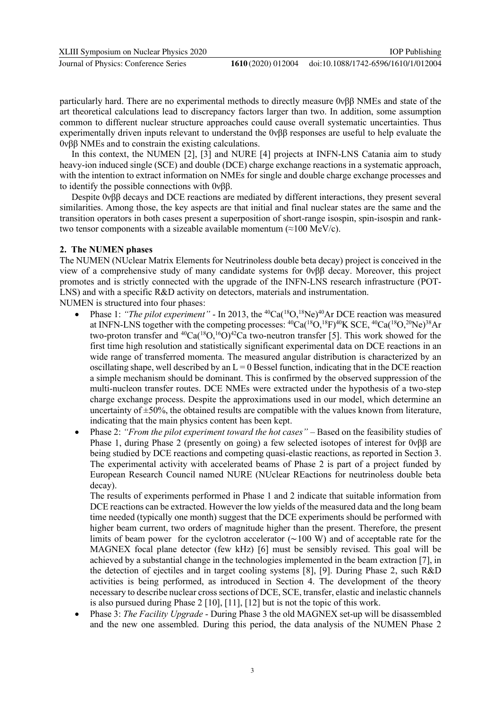XLIII Symposium on Nuclear Physics 2020

Journal of Physics: Conference Series **1610** (2020) 012004

particularly hard. There are no experimental methods to directly measure 0νββ NMEs and state of the art theoretical calculations lead to discrepancy factors larger than two. In addition, some assumption common to different nuclear structure approaches could cause overall systematic uncertainties. Thus experimentally driven inputs relevant to understand the 0νββ responses are useful to help evaluate the 0νββ NMEs and to constrain the existing calculations.

In this context, the NUMEN [2], [3] and NURE [4] projects at INFN-LNS Catania aim to study heavy-ion induced single (SCE) and double (DCE) charge exchange reactions in a systematic approach, with the intention to extract information on NMEs for single and double charge exchange processes and to identify the possible connections with 0νββ.

Despite 0νββ decays and DCE reactions are mediated by different interactions, they present several similarities. Among those, the key aspects are that initial and final nuclear states are the same and the transition operators in both cases present a superposition of short-range isospin, spin-isospin and ranktwo tensor components with a sizeable available momentum  $(\approx 100 \text{ MeV/c})$ .

#### **2. The NUMEN phases**

The NUMEN (NUclear Matrix Elements for Neutrinoless double beta decay) project is conceived in the view of a comprehensive study of many candidate systems for 0νββ decay. Moreover, this project promotes and is strictly connected with the upgrade of the INFN-LNS research infrastructure (POT-LNS) and with a specific R&D activity on detectors, materials and instrumentation. NUMEN is structured into four phases:

- Phase 1: *"The pilot experiment"* In 2013, the <sup>40</sup>Ca(<sup>18</sup>O,<sup>18</sup>Ne)<sup>40</sup>Ar DCE reaction was measured at INFN-LNS together with the competing processes:  ${}^{40}Ca({}^{18}O,{}^{18}F)^{40}K$  SCE,  ${}^{40}Ca({}^{18}O,{}^{20}Ne){}^{38}Ar$ two-proton transfer and  ${}^{40}Ca({}^{18}O,{}^{16}O) {}^{42}Ca$  two-neutron transfer [5]. This work showed for the first time high resolution and statistically significant experimental data on DCE reactions in an wide range of transferred momenta. The measured angular distribution is characterized by an oscillating shape, well described by an  $L = 0$  Bessel function, indicating that in the DCE reaction a simple mechanism should be dominant. This is confirmed by the observed suppression of the multi-nucleon transfer routes. DCE NMEs were extracted under the hypothesis of a two-step charge exchange process. Despite the approximations used in our model, which determine an uncertainty of  $\pm$ 50%, the obtained results are compatible with the values known from literature, indicating that the main physics content has been kept.
- Phase 2: *"From the pilot experiment toward the hot cases"* Based on the feasibility studies of Phase 1, during Phase 2 (presently on going) a few selected isotopes of interest for 0νββ are being studied by DCE reactions and competing quasi-elastic reactions, as reported in Section 3. The experimental activity with accelerated beams of Phase 2 is part of a project funded by European Research Council named NURE (NUclear REactions for neutrinoless double beta decay).

The results of experiments performed in Phase 1 and 2 indicate that suitable information from DCE reactions can be extracted. However the low yields of the measured data and the long beam time needed (typically one month) suggest that the DCE experiments should be performed with higher beam current, two orders of magnitude higher than the present. Therefore, the present limits of beam power for the cyclotron accelerator (∼100 W) and of acceptable rate for the MAGNEX focal plane detector (few kHz) [6] must be sensibly revised. This goal will be achieved by a substantial change in the technologies implemented in the beam extraction [7], in the detection of ejectiles and in target cooling systems [8], [9]. During Phase 2, such R&D activities is being performed, as introduced in Section 4. The development of the theory necessary to describe nuclear cross sections of DCE, SCE, transfer, elastic and inelastic channels is also pursued during Phase 2 [10], [11], [12] but is not the topic of this work.

• Phase 3: *The Facility Upgrade* - During Phase 3 the old MAGNEX set-up will be disassembled and the new one assembled. During this period, the data analysis of the NUMEN Phase 2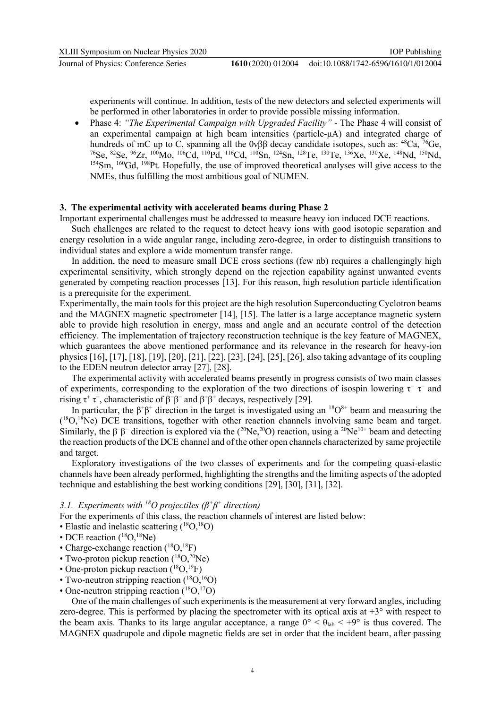experiments will continue. In addition, tests of the new detectors and selected experiments will be performed in other laboratories in order to provide possible missing information.

• Phase 4: *"The Experimental Campaign with Upgraded Facility" -* The Phase 4 will consist of an experimental campaign at high beam intensities (particle-μA) and integrated charge of hundreds of mC up to C, spanning all the  $0\nu\beta\beta$  decay candidate isotopes, such as: <sup>48</sup>Ca, <sup>76</sup>Ge, <sup>76</sup>Se, <sup>82</sup>Se, <sup>96</sup>Zr, <sup>100</sup>Mo, <sup>106</sup>Cd, <sup>110</sup>Pd, <sup>116</sup>Cd, <sup>110</sup>Sn, <sup>124</sup>Sn, <sup>128</sup>Te, <sup>130</sup>Te, <sup>136</sup>Xe, <sup>130</sup>Xe, <sup>148</sup>Nd, <sup>150</sup>Nd, <sup>154</sup>Sm, <sup>160</sup>Gd, <sup>198</sup>Pt. Hopefully, the use of improved theoretical analyses will give access to the NMEs, thus fulfilling the most ambitious goal of NUMEN.

### **3. The experimental activity with accelerated beams during Phase 2**

Important experimental challenges must be addressed to measure heavy ion induced DCE reactions.

Such challenges are related to the request to detect heavy ions with good isotopic separation and energy resolution in a wide angular range, including zero-degree, in order to distinguish transitions to individual states and explore a wide momentum transfer range.

In addition, the need to measure small DCE cross sections (few nb) requires a challengingly high experimental sensitivity, which strongly depend on the rejection capability against unwanted events generated by competing reaction processes [13]. For this reason, high resolution particle identification is a prerequisite for the experiment.

Experimentally, the main tools for this project are the high resolution Superconducting Cyclotron beams and the MAGNEX magnetic spectrometer [14], [15]. The latter is a large acceptance magnetic system able to provide high resolution in energy, mass and angle and an accurate control of the detection efficiency. The implementation of trajectory reconstruction technique is the key feature of MAGNEX, which guarantees the above mentioned performance and its relevance in the research for heavy-ion physics [16], [17], [18], [19], [20], [21], [22], [23], [24], [25], [26], also taking advantage of its coupling to the EDEN neutron detector array [27], [28].

The experimental activity with accelerated beams presently in progress consists of two main classes of experiments, corresponding to the exploration of the two directions of isospin lowering  $\tau^ \tau^-$  and rising  $\tau^+$   $\tau^+$ , characteristic of  $\beta^-\beta^-$  and  $\beta^+\beta^+$  decays, respectively [29].

In particular, the  $\beta^+\beta^+$  direction in the target is investigated using an <sup>18</sup>O<sup>8+</sup> beam and measuring the (<sup>18</sup>O,<sup>18</sup>Ne) DCE transitions, together with other reaction channels involving same beam and target. Similarly, the  $\beta^-\beta^-$  direction is explored via the (<sup>20</sup>Ne,<sup>20</sup>O) reaction, using a <sup>20</sup>Ne<sup>10+</sup> beam and detecting the reaction products of the DCE channel and of the other open channels characterized by same projectile and target.

Exploratory investigations of the two classes of experiments and for the competing quasi-elastic channels have been already performed, highlighting the strengths and the limiting aspects of the adopted technique and establishing the best working conditions [29], [30], [31], [32].

#### *3.1. Experiments with <sup>18</sup>O projectiles (β<sup>+</sup> β + direction)*

For the experiments of this class, the reaction channels of interest are listed below:

- Elastic and inelastic scattering  $(^{18}O,^{18}O)$
- DCE reaction  $(^{18}O,^{18}Ne)$
- Charge-exchange reaction  $(^{18}O, ^{18}F)$
- Two-proton pickup reaction  $(^{18}O,^{20}Ne)$
- One-proton pickup reaction  $(^{18}O,^{19}F)$
- Two-neutron stripping reaction  $(^{18}O,^{16}O)$
- One-neutron stripping reaction  $({}^{18}O, {}^{17}O)$

One of the main challenges of such experiments is the measurement at very forward angles, including zero-degree. This is performed by placing the spectrometer with its optical axis at  $+3^{\circ}$  with respect to the beam axis. Thanks to its large angular acceptance, a range  $0^{\circ} < \theta_{\text{lab}} < +9^{\circ}$  is thus covered. The MAGNEX quadrupole and dipole magnetic fields are set in order that the incident beam, after passing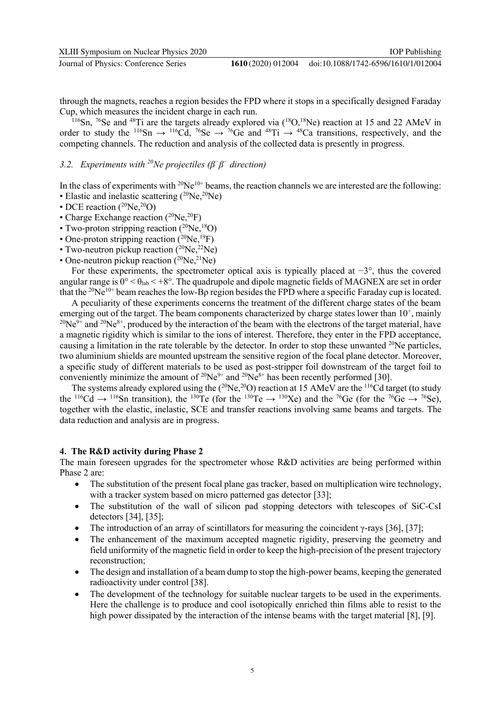through the magnets, reaches a region besides the FPD where it stops in a specifically designed Faraday Cup, which measures the incident charge in each run.

<sup>116</sup>Sn, <sup>76</sup>Se and <sup>48</sup>Ti are the targets already explored via  $(^{18}O,^{18}Ne)$  reaction at 15 and 22 AMeV in order to study the <sup>116</sup>Sn  $\rightarrow$  <sup>116</sup>Cd, <sup>76</sup>Se  $\rightarrow$  <sup>76</sup>Ge and <sup>48</sup>Ti  $\rightarrow$  <sup>48</sup>Ca transitions, respectively, and the competing channels. The reduction and analysis of the collected data is presently in progress.

#### *3.2. Experiments with <sup>20</sup>Ne projectiles (β<sup>−</sup> β − direction)*

In the class of experiments with  $^{20}Ne^{10+}$  beams, the reaction channels we are interested are the following: • Elastic and inelastic scattering  $(^{20}Ne, ^{20}Ne)$ 

- DCE reaction  $(^{20}\text{Ne},^{20}\text{O})$
- Charge Exchange reaction (<sup>20</sup>Ne,<sup>20</sup>F)
- Two-proton stripping reaction  $(^{20}\text{Ne},^{18}\text{O})$
- One-proton stripping reaction  $(^{20}\text{Ne},^{19}\text{F})$
- Two-neutron pickup reaction  $(^{20}Ne, ^{22}Ne)$
- One-neutron pickup reaction  $(^{20}Ne, ^{21}Ne)$

For these experiments, the spectrometer optical axis is typically placed at  $-3^\circ$ , thus the covered angular range is  $0^{\circ} < \theta_{\text{lab}} < +8^{\circ}$ . The quadrupole and dipole magnetic fields of MAGNEX are set in order that the <sup>20</sup>Ne10+ beam reaches the low-Bρ region besides the FPD where a specific Faraday cup is located.

A peculiarity of these experiments concerns the treatment of the different charge states of the beam emerging out of the target. The beam components characterized by charge states lower than  $10^+$ , mainly  $^{20}Ne^{9+}$  and  $^{20}Ne^{8+}$ , produced by the interaction of the beam with the electrons of the target material, have a magnetic rigidity which is similar to the ions of interest. Therefore, they enter in the FPD acceptance, causing a limitation in the rate tolerable by the detector. In order to stop these unwanted <sup>20</sup>Ne particles, two aluminium shields are mounted upstream the sensitive region of the focal plane detector. Moreover, a specific study of different materials to be used as post-stripper foil downstream of the target foil to conveniently minimize the amount of  $2^0Ne^{9+}$  and  $2^0Ne^{8+}$  has been recently performed [30].

The systems already explored using the  $(^{20}Ne,^{20}O)$  reaction at 15 AMeV are the <sup>116</sup>Cd target (to study the <sup>116</sup>Cd  $\rightarrow$  <sup>116</sup>Sn transition), the <sup>130</sup>Te (for the <sup>130</sup>Te  $\rightarrow$  <sup>130</sup>Xe) and the <sup>76</sup>Ge (for the <sup>76</sup>Ge  $\rightarrow$  <sup>76</sup>Se), together with the elastic, inelastic, SCE and transfer reactions involving same beams and targets. The data reduction and analysis are in progress.

#### **4. The R&D activity during Phase 2**

The main foreseen upgrades for the spectrometer whose R&D activities are being performed within Phase 2 are:

- The substitution of the present focal plane gas tracker, based on multiplication wire technology, with a tracker system based on micro patterned gas detector [33];
- The substitution of the wall of silicon pad stopping detectors with telescopes of SiC-CsI detectors [34], [35];
- The introduction of an array of scintillators for measuring the coincident  $\gamma$ -rays [36], [37];
- The enhancement of the maximum accepted magnetic rigidity, preserving the geometry and field uniformity of the magnetic field in order to keep the high-precision of the present trajectory reconstruction;
- The design and installation of a beam dump to stop the high-power beams, keeping the generated radioactivity under control [38].
- The development of the technology for suitable nuclear targets to be used in the experiments. Here the challenge is to produce and cool isotopically enriched thin films able to resist to the high power dissipated by the interaction of the intense beams with the target material [8], [9].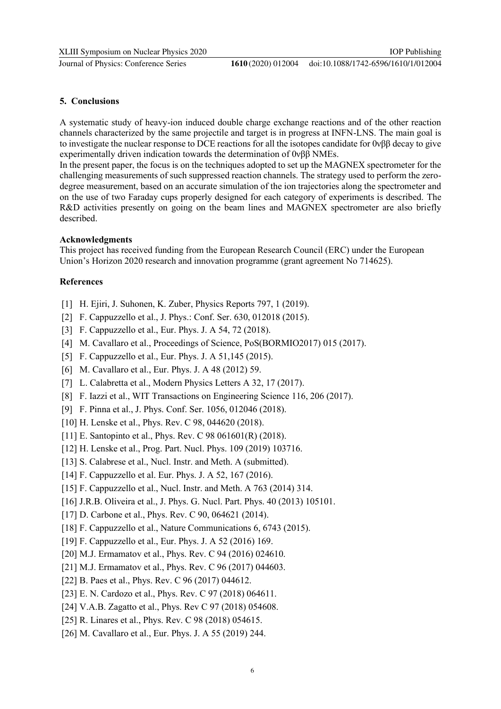Journal of Physics: Conference Series **1610** (2020) 012004

#### **5. Conclusions**

A systematic study of heavy-ion induced double charge exchange reactions and of the other reaction channels characterized by the same projectile and target is in progress at INFN-LNS. The main goal is to investigate the nuclear response to DCE reactions for all the isotopes candidate for 0νββ decay to give experimentally driven indication towards the determination of 0νββ NMEs.

In the present paper, the focus is on the techniques adopted to set up the MAGNEX spectrometer for the challenging measurements of such suppressed reaction channels. The strategy used to perform the zerodegree measurement, based on an accurate simulation of the ion trajectories along the spectrometer and on the use of two Faraday cups properly designed for each category of experiments is described. The R&D activities presently on going on the beam lines and MAGNEX spectrometer are also briefly described.

#### **Acknowledgments**

This project has received funding from the European Research Council (ERC) under the European Union's Horizon 2020 research and innovation programme (grant agreement No 714625).

#### **References**

- [1] H. Ejiri, J. Suhonen, K. Zuber, Physics Reports 797, 1 (2019).
- [2] F. Cappuzzello et al., J. Phys.: Conf. Ser. 630, 012018 (2015).
- [3] F. Cappuzzello et al., Eur. Phys. J. A 54, 72 (2018).
- [4] M. Cavallaro et al., Proceedings of Science, PoS(BORMIO2017) 015 (2017).
- [5] F. Cappuzzello et al., Eur. Phys. J. A 51,145 (2015).
- [6] M. Cavallaro et al., Eur. Phys. J. A 48 (2012) 59.
- [7] L. Calabretta et al., Modern Physics Letters A 32, 17 (2017).
- [8] F. Iazzi et al., WIT Transactions on Engineering Science 116, 206 (2017).
- [9] F. Pinna et al., J. Phys. Conf. Ser. 1056, 012046 (2018).
- [10] H. Lenske et al., Phys. Rev. C 98, 044620 (2018).
- [11] E. Santopinto et al., Phys. Rev. C 98 061601(R) (2018).
- [12] H. Lenske et al., Prog. Part. Nucl. Phys. 109 (2019) 103716.
- [13] S. Calabrese et al., Nucl. Instr. and Meth. A (submitted).
- [14] F. Cappuzzello et al. Eur. Phys. J. A 52, 167 (2016).
- [15] F. Cappuzzello et al., Nucl. Instr. and Meth. A 763 (2014) 314.
- [16] J.R.B. Oliveira et al., J. Phys. G. Nucl. Part. Phys. 40 (2013) 105101.
- [17] D. Carbone et al., Phys. Rev. C 90, 064621 (2014).
- [18] F. Cappuzzello et al., Nature Communications 6, 6743 (2015).
- [19] F. Cappuzzello et al., Eur. Phys. J. A 52 (2016) 169.
- [20] M.J. Ermamatov et al., Phys. Rev. C 94 (2016) 024610.
- [21] M.J. Ermamatov et al., Phys. Rev. C 96 (2017) 044603.
- [22] B. Paes et al., Phys. Rev. C 96 (2017) 044612.
- [23] E. N. Cardozo et al., Phys. Rev. C 97 (2018) 064611.
- [24] V.A.B. Zagatto et al., Phys. Rev C 97 (2018) 054608.
- [25] R. Linares et al., Phys. Rev. C 98 (2018) 054615.
- [26] M. Cavallaro et al., Eur. Phys. J. A 55 (2019) 244.